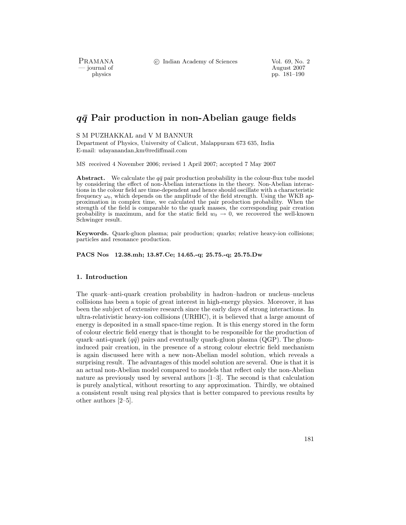PRAMANA<br>— journal of

c Indian Academy of Sciences Vol. 69, No. 2

August 2007 physics pp. 181–190

# *qq***¯ Pair production in non-Abelian gauge fields**

S M PUZHAKKAL and V M BANNUR

Department of Physics, University of Calicut, Malappuram 673 635, India E-mail: udayanandan km@rediffmail.com

MS received 4 November 2006; revised 1 April 2007; accepted 7 May 2007

**Abstract.** We calculate the  $q\bar{q}$  pair production probability in the colour-flux tube model by considering the effect of non-Abelian interactions in the theory. Non-Abelian interactions in the colour field are time-dependent and hence should oscillate with a characteristic frequency  $\omega_0$ , which depends on the amplitude of the field strength. Using the WKB approximation in complex time, we calculated the pair production probability. When the strength of the field is comparable to the quark masses, the corresponding pair creation probability is maximum, and for the static field  $w_0 \rightarrow 0$ , we recovered the well-known Schwinger result.

**Keywords.** Quark-gluon plasma; pair production; quarks; relative heavy-ion collisions; particles and resonance production.

**PACS Nos 12.38.mh; 13.87.Ce; 14.65.-q; 25.75.-q; 25.75.Dw**

# **1. Introduction**

The quark–anti-quark creation probability in hadron–hadron or nucleus–nucleus collisions has been a topic of great interest in high-energy physics. Moreover, it has been the subject of extensive research since the early days of strong interactions. In ultra-relativistic heavy-ion collisions (URHIC), it is believed that a large amount of energy is deposited in a small space-time region. It is this energy stored in the form of colour electric field energy that is thought to be responsible for the production of quark–anti-quark  $(q\bar{q})$  pairs and eventually quark-gluon plasma (QGP). The gluoninduced pair creation, in the presence of a strong colour electric field mechanism is again discussed here with a new non-Abelian model solution, which reveals a surprising result. The advantages of this model solution are several. One is that it is an actual non-Abelian model compared to models that reflect only the non-Abelian nature as previously used by several authors  $[1-3]$ . The second is that calculation is purely analytical, without resorting to any approximation. Thirdly, we obtained a consistent result using real physics that is better compared to previous results by other authors [2–5].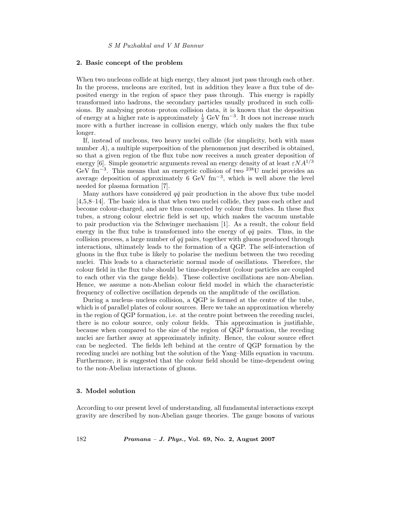#### **2. Basic concept of the problem**

When two nucleons collide at high energy, they almost just pass through each other. In the process, nucleons are excited, but in addition they leave a flux tube of deposited energy in the region of space they pass through. This energy is rapidly transformed into hadrons, the secondary particles usually produced in such collisions. By analysing proton–proton collision data, it is known that the deposition of energy at a higher rate is approximately  $\frac{1}{3}$  GeV fm<sup>-3</sup>. It does not increase much more with a further increase in collision energy, which only makes the flux tube longer.

If, instead of nucleons, two heavy nuclei collide (for simplicity, both with mass number A), a multiple superposition of the phenomenon just described is obtained, so that a given region of the flux tube now receives a much greater deposition of energy [6]. Simple geometric arguments reveal an energy density of at least  $\varepsilon NA^{1/3}$ GeV fm−3. This means that an energetic collision of two <sup>238</sup>U nuclei provides an average deposition of approximately  $6 \text{ GeV fm}^{-3}$ , which is well above the level needed for plasma formation [7].

Many authors have considered  $q\bar{q}$  pair production in the above flux tube model [4,5,8–14]. The basic idea is that when two nuclei collide, they pass each other and become colour-charged, and are thus connected by colour flux tubes. In these flux tubes, a strong colour electric field is set up, which makes the vacuum unstable to pair production via the Schwinger mechanism [1]. As a result, the colour field energy in the flux tube is transformed into the energy of  $q\bar{q}$  pairs. Thus, in the collision process, a large number of  $q\bar{q}$  pairs, together with gluons produced through interactions, ultimately leads to the formation of a QGP. The self-interaction of gluons in the flux tube is likely to polarise the medium between the two receding nuclei. This leads to a characteristic normal mode of oscillations. Therefore, the colour field in the flux tube should be time-dependent (colour particles are coupled to each other via the gauge fields). These collective oscillations are non-Abelian. Hence, we assume a non-Abelian colour field model in which the characteristic frequency of collective oscillation depends on the amplitude of the oscillation.

During a nucleus–nucleus collision, a QGP is formed at the centre of the tube, which is of parallel plates of colour sources. Here we take an approximation whereby in the region of QGP formation, i.e. at the centre point between the receding nuclei, there is no colour source, only colour fields. This approximation is justifiable, because when compared to the size of the region of QGP formation, the receding nuclei are farther away at approximately infinity. Hence, the colour source effect can be neglected. The fields left behind at the centre of QGP formation by the receding nuclei are nothing but the solution of the Yang–Mills equation in vacuum. Furthermore, it is suggested that the colour field should be time-dependent owing to the non-Abelian interactions of gluons.

#### **3. Model solution**

According to our present level of understanding, all fundamental interactions except gravity are described by non-Abelian gauge theories. The gauge bosons of various

182 *Pramana – J. Phys.,* **Vol. 69, No. 2, August 2007**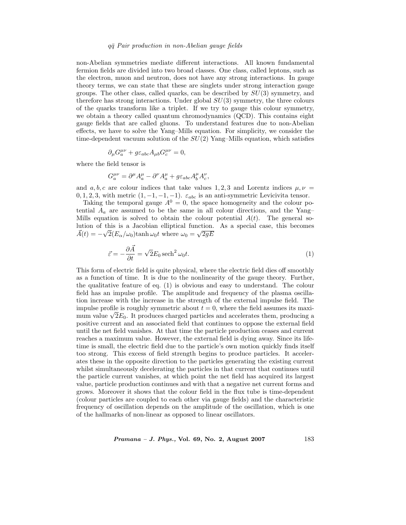non-Abelian symmetries mediate different interactions. All known fundamental fermion fields are divided into two broad classes. One class, called leptons, such as the electron, muon and neutron, does not have any strong interactions. In gauge theory terms, we can state that these are singlets under strong interaction gauge groups. The other class, called quarks, can be described by  $SU(3)$  symmetry, and therefore has strong interactions. Under global  $SU(3)$  symmetry, the three colours of the quarks transform like a triplet. If we try to gauge this colour symmetry, we obtain a theory called quantum chromodynamics (QCD). This contains eight gauge fields that are called gluons. To understand features due to non-Abelian effects, we have to solve the Yang–Mills equation. For simplicity, we consider the time-dependent vacuum solution of the  $SU(2)$  Yang–Mills equation, which satisfies

$$
\partial_\mu G_a^{\mu\nu} + g \varepsilon_{abc} A_{\mu b} G_c^{\mu\nu} = 0,
$$

where the field tensor is

$$
G^{\mu\nu}_a=\partial^\mu A^\mu_a-\partial^\nu A^\mu_a+g\varepsilon_{abc}A^\mu_b A^\nu_c,
$$

and a, b, c are colour indices that take values 1, 2, 3 and Lorentz indices  $\mu, \nu =$ 0, 1, 2, 3, with metric  $(1, -1, -1, -1)$ .  $\varepsilon_{abc}$  is an anti-symmetric Levicivita tensor.

Taking the temporal gauge  $A^0 = 0$ , the space homogeneity and the colour potential  $A_a$  are assumed to be the same in all colour directions, and the Yang– Mills equation is solved to obtain the colour potential  $A(t)$ . The general solution of this is a Jacobian elliptical function. As a special case, this becomes  $\vec{A}(t) = -\sqrt{2}(E_{\alpha}/\omega_0)\tanh \omega_0 t$  where  $\omega_0 = \sqrt{2gE_{\alpha}}$ 

$$
\vec{\varepsilon} = -\frac{\partial \vec{A}}{\partial t} = \sqrt{2}E_0 \operatorname{sech}^2 \omega_0 t. \tag{1}
$$

This form of electric field is quite physical, where the electric field dies off smoothly as a function of time. It is due to the nonlinearity of the gauge theory. Further, the qualitative feature of eq. (1) is obvious and easy to understand. The colour field has an impulse profile. The amplitude and frequency of the plasma oscillation increase with the increase in the strength of the external impulse field. The impulse profile is roughly symmetric about  $t = 0$ , where the field assumes its maximum value  $\sqrt{2}E_0$ . It produces charged particles and accelerates them, producing a positive current and an associated field that continues to oppose the external field until the net field vanishes. At that time the particle production ceases and current reaches a maximum value. However, the external field is dying away. Since its lifetime is small, the electric field due to the particle's own motion quickly finds itself too strong. This excess of field strength begins to produce particles. It accelerates these in the opposite direction to the particles generating the existing current whilst simultaneously decelerating the particles in that current that continues until the particle current vanishes, at which point the net field has acquired its largest value, particle production continues and with that a negative net current forms and grows. Moreover it shows that the colour field in the flux tube is time-dependent (colour particles are coupled to each other via gauge fields) and the characteristic frequency of oscillation depends on the amplitude of the oscillation, which is one of the hallmarks of non-linear as opposed to linear oscillators.

*Pramana – J. Phys.,* **Vol. 69, No. 2, August 2007** 183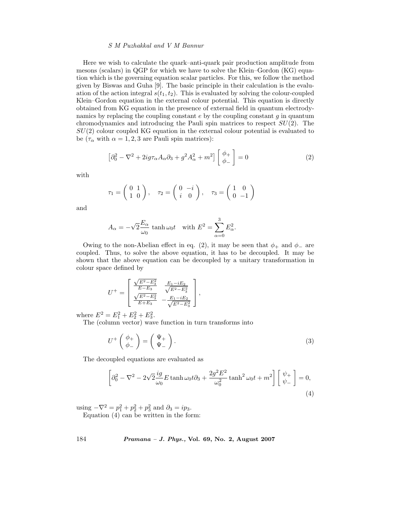Here we wish to calculate the quark–anti-quark pair production amplitude from mesons (scalars) in QGP for which we have to solve the Klein–Gordon (KG) equation which is the governing equation scalar particles. For this, we follow the method given by Biswas and Guha [9]. The basic principle in their calculation is the evaluation of the action integral  $s(t_1, t_2)$ . This is evaluated by solving the colour-coupled Klein–Gordon equation in the external colour potential. This equation is directly obtained from KG equation in the presence of external field in quantum electrodynamics by replacing the coupling constant  $e$  by the coupling constant  $g$  in quantum chromodynamics and introducing the Pauli spin matrices to respect  $SU(2)$ . The  $SU(2)$  colour coupled KG equation in the external colour potential is evaluated to be  $(\tau_{\alpha}$  with  $\alpha = 1, 2, 3$  are Pauli spin matrices):

$$
\left[\partial_0^2 - \nabla^2 + 2ig\tau_\alpha A_\alpha \partial_3 + g^2 A_\alpha^2 + m^2\right] \begin{bmatrix} \phi_+ \\ \phi_- \end{bmatrix} = 0 \tag{2}
$$

with

$$
\tau_1 = \begin{pmatrix} 0 & 1 \\ 1 & 0 \end{pmatrix}, \quad \tau_2 = \begin{pmatrix} 0 & -i \\ i & 0 \end{pmatrix}, \quad \tau_3 = \begin{pmatrix} 1 & 0 \\ 0 & -1 \end{pmatrix}
$$

and

$$
A_{\alpha} = -\sqrt{2} \frac{E_{\alpha}}{\omega_0} \tanh \omega_0 t \quad \text{with } E^2 = \sum_{\alpha=0}^3 E_{\alpha}^2.
$$

Owing to the non-Abelian effect in eq. (2), it may be seen that  $\phi_+$  and  $\phi_-$  are coupled. Thus, to solve the above equation, it has to be decoupled. It may be shown that the above equation can be decoupled by a unitary transformation in colour space defined by

$$
U^{+} = \begin{bmatrix} \frac{\sqrt{E^2 - E_3^2}}{E - E_3} & \frac{E_1 - iE_2}{\sqrt{E^2 - E_3^2}} \\ \frac{\sqrt{E^2 - E_3^2}}{E + E_3} & -\frac{E_1 - iE_2}{\sqrt{E^2 - E_3^2}} \end{bmatrix},
$$

where  $E^2 = E_1^2 + E_2^2 + E_3^2$ .

The (column vector) wave function in turn transforms into

$$
U^+\left(\begin{array}{c}\phi_+\\\phi_-\end{array}\right)=\left(\begin{array}{c}\Psi_+\\\Psi_-\end{array}\right).
$$
\n(3)

The decoupled equations are evaluated as

$$
\left[\partial_0^2 - \nabla^2 - 2\sqrt{2}\frac{ig}{\omega_0}E\tanh\omega_0 t \partial_3 + \frac{2g^2E^2}{\omega_0^2}\tanh^2\omega_0 t + m^2\right] \left[\begin{array}{c}\psi_+\\\psi_-\end{array}\right] = 0,
$$
\n(4)

using  $-\nabla^2 = p_1^2 + p_2^2 + p_3^2$  and  $\partial_3 = ip_3$ .

Equation  $(4)$  can be written in the form:

184 *Pramana – J. Phys.,* **Vol. 69, No. 2, August 2007**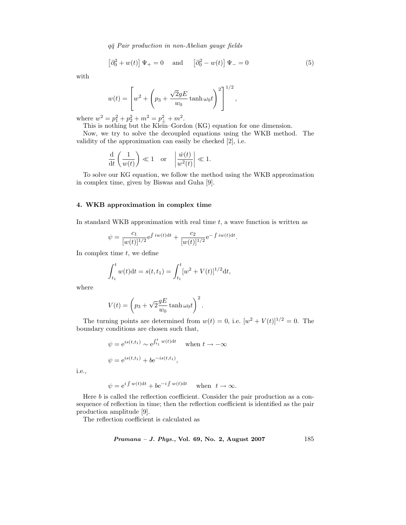$$
\left[\partial_0^2 + w(t)\right]\Psi_+ = 0 \quad \text{and} \quad \left[\partial_0^2 - w(t)\right]\Psi_- = 0 \tag{5}
$$

,

with

$$
w(t) = \left[ w^2 + \left( p_3 + \frac{\sqrt{2}gE}{w_0} \tanh \omega_0 t \right)^2 \right]^{1/2}
$$

where  $w^2 = p_1^2 + p_2^2 + m^2 = p_\perp^2 + m^2$ .<br>This is nothing but the Klein–Gordon (KG) equation for one dimension.

Now, we try to solve the decoupled equations using the WKB method. The validity of the approximation can easily be checked [2], i.e.

$$
\frac{\mathrm{d}}{\mathrm{d}t}\left(\frac{1}{w(t)}\right) \ll 1 \quad \text{or} \quad \left|\frac{\dot{w}(t)}{w^2(t)}\right| \ll 1.
$$

To solve our KG equation, we follow the method using the WKB approximation in complex time, given by Biswas and Guha [9].

## **4. WKB approximation in complex time**

In standard WKB approximation with real time  $t$ , a wave function is written as

$$
\psi = \frac{c_1}{[w(t)]^{1/2}} e^{\int i w(t) dt} + \frac{c_2}{[w(t)]^{1/2}} e^{-\int i w(t) dt}.
$$

In complex time  $t$ , we define

$$
\int_{t_1}^t w(t)dt = s(t, t_1) = \int_{t_1}^t [w^2 + V(t)]^{1/2} dt,
$$

where

$$
V(t) = \left(p_3 + \sqrt{2} \frac{gE}{w_0} \tanh \omega_0 t\right)^2.
$$

The turning points are determined from  $w(t) = 0$ , i.e.  $[w^2 + V(t)]^{1/2} = 0$ . The boundary conditions are chosen such that,

$$
\psi = e^{is(t, t_1)} \sim e^{\int_{t_1}^t w(t) dt} \quad \text{when } t \to -\infty
$$
  

$$
\psi = e^{is(t, t_1)} + be^{-is(t, t_1)},
$$

i.e.,

$$
\psi = e^{i \int w(t)dt} + be^{-i \int w(t)dt} \quad \text{when} \ \ t \to \infty.
$$

Here b is called the reflection coefficient. Consider the pair production as a consequence of reflection in time; then the reflection coefficient is identified as the pair production amplitude [9].

The reflection coefficient is calculated as

*Pramana – J. Phys.,* **Vol. 69, No. 2, August 2007** 185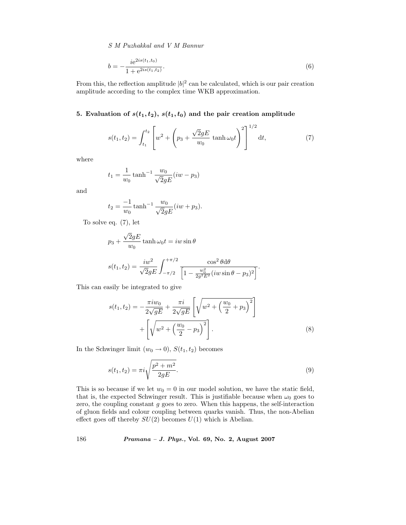$$
b = -\frac{i e^{2is(t_1, t_0)}}{1 + e^{2is(t_1, t_2)}}.
$$
\n
$$
(6)
$$

From this, the reflection amplitude  $|b|^2$  can be calculated, which is our pair creation amplitude according to the complex time WKB approximation.

# **5.** Evaluation of  $s(t_1, t_2)$ ,  $s(t_1, t_0)$  and the pair creation amplitude

$$
s(t_1, t_2) = \int_{t_1}^{t_2} \left[ w^2 + \left( p_3 + \frac{\sqrt{2}gE}{w_0} \tanh \omega_0 t \right)^2 \right]^{1/2} dt, \tag{7}
$$

where

$$
t_1 = \frac{1}{w_0} \tanh^{-1} \frac{w_0}{\sqrt{2}gE} (iw - p_3)
$$

and

$$
t_2 = \frac{-1}{w_0} \tanh^{-1} \frac{w_0}{\sqrt{2}gE} (iw + p_3).
$$

To solve eq. (7), let

$$
p_3 + \frac{\sqrt{2}gE}{w_0} \tanh \omega_0 t = iw \sin \theta
$$
  

$$
s(t_1, t_2) = \frac{iw^2}{\sqrt{2}gE} \int_{-\pi/2}^{+\pi/2} \frac{\cos^2 \theta d\theta}{\left[1 - \frac{w_0^2}{2g^2 E^2} (iw \sin \theta - p_3)^2\right]}.
$$

This can easily be integrated to give

$$
s(t_1, t_2) = -\frac{\pi i w_0}{2\sqrt{gE}} + \frac{\pi i}{2\sqrt{gE}} \left[ \sqrt{w^2 + \left(\frac{w_0}{2} + p_3\right)^2} \right] + \left[ \sqrt{w^2 + \left(\frac{w_0}{2} - p_3\right)^2} \right].
$$
\n(8)

In the Schwinger limit  $(w_0 \rightarrow 0), S(t_1, t_2)$  becomes

$$
s(t_1, t_2) = \pi i \sqrt{\frac{p^2 + m^2}{2gE}}.
$$
\n(9)

This is so because if we let  $w_0 = 0$  in our model solution, we have the static field, that is, the expected Schwinger result. This is justifiable because when  $\omega_0$  goes to zero, the coupling constant  $g$  goes to zero. When this happens, the self-interaction of gluon fields and colour coupling between quarks vanish. Thus, the non-Abelian effect goes off thereby  $SU(2)$  becomes  $U(1)$  which is Abelian.

186 *Pramana – J. Phys.,* **Vol. 69, No. 2, August 2007**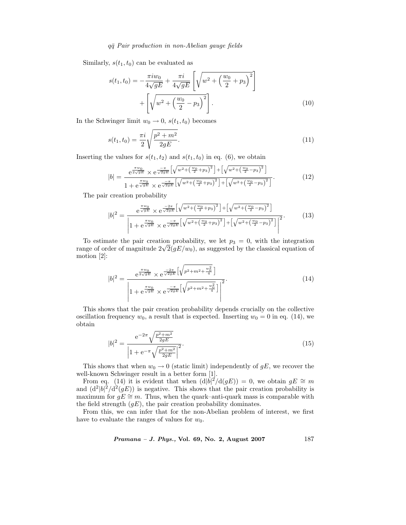Similarly,  $s(t_1, t_0)$  can be evaluated as

$$
s(t_1, t_0) = -\frac{\pi i w_0}{4\sqrt{gE}} + \frac{\pi i}{4\sqrt{gE}} \left[ \sqrt{w^2 + \left(\frac{w_0}{2} + p_3\right)^2} \right] + \left[ \sqrt{w^2 + \left(\frac{w_0}{2} - p_3\right)^2} \right].
$$
\n(10)

In the Schwinger limit  $w_0 \rightarrow 0$ ,  $s(t_1, t_0)$  becomes

$$
s(t_1, t_0) = \frac{\pi i}{2} \sqrt{\frac{p^2 + m^2}{2gE}}.
$$
\n(11)

Inserting the values for  $s(t_1, t_2)$  and  $s(t_1, t_0)$  in eq. (6), we obtain

$$
|b| = \frac{e^{\frac{\pi w_0}{2\sqrt{gE}}} \times e^{\frac{-\pi}{\sqrt{2gE}} \left[\sqrt{w^2 + \left(\frac{w_0}{2} + p_3\right)^2}\right] + \left[\sqrt{w^2 + \left(\frac{w_0}{2} - p_3\right)^2}\right]}{1 + e^{\frac{\pi w_0}{\sqrt{gE}}} \times e^{\frac{-\pi}{\sqrt{2gE}} \left[\sqrt{w^2 + \left(\frac{w_0}{2} + p_3\right)^2}\right] + \left[\sqrt{w^2 + \left(\frac{w_0}{2} - p_3\right)^2}\right]}}.
$$
(12)

The pair creation probability

$$
|b|^2 = \frac{e^{\frac{\pi w_0}{\sqrt{gE}}} \times e^{\frac{-2\pi}{\sqrt{2gE}} \left[ \sqrt{w^2 + \left(\frac{w_0}{2} + p_3\right)^2} \right] + \left[ \sqrt{w^2 + \left(\frac{w_0}{2} - p_3\right)^2} \right]}}{\left| 1 + e^{\frac{\pi w_0}{\sqrt{gE}}} \times e^{\frac{-\pi}{\sqrt{2gE}} \left[ \sqrt{w^2 + \left(\frac{w_0}{2} + p_3\right)^2} \right] + \left[ \sqrt{w^2 + \left(\frac{w_0}{2} - p_3\right)^2} \right] \right|^2}}.
$$
(13)

To estimate the pair creation probability, we let  $p_3 = 0$ , with the integration range of order of magnitude  $2\sqrt{2}(gE/w_0)$ , as suggested by the classical equation of motion [2]:

$$
|b|^2 = \frac{e^{\frac{\pi w_0}{2\sqrt{gE}}} \times e^{\frac{-2\pi}{\sqrt{2gE}}} \left[ \sqrt{p^2 + m^2 + \frac{w_0^2}{4}} \right]}{\left| 1 + e^{\frac{\pi w_0}{\sqrt{gE}}} \times e^{\frac{-\pi}{\sqrt{2gE}}} \left[ \sqrt{p^2 + m^2 + \frac{w_0^2}{4}} \right] \right|^2}.
$$
\n(14)

This shows that the pair creation probability depends crucially on the collective oscillation frequency  $w_0$ , a result that is expected. Inserting  $w_0 = 0$  in eq. (14), we obtain

$$
|b|^2 = \frac{e^{-2\pi}\sqrt{\frac{p^2 + m^2}{2gE}}}{\left|1 + e^{-\pi}\sqrt{\frac{p^2 + m^2}{2gE}}\right|^2}.
$$
\n(15)

This shows that when  $w_0 \to 0$  (static limit) independently of gE, we recover the well-known Schwinger result in a better form [1].

From eq. (14) it is evident that when  $(d|b|^2/d(gE)) = 0$ , we obtain  $gE \cong m$ and  $(d^2|b|^2/d^2(gE))$  is negative. This shows that the pair creation probability is maximum for  $gE \cong m$ . Thus, when the quark–anti-quark mass is comparable with the field strength  $(gE)$ , the pair creation probability dominates.

From this, we can infer that for the non-Abelian problem of interest, we first have to evaluate the ranges of values for  $w_0$ .

*Pramana – J. Phys.,* **Vol. 69, No. 2, August 2007** 187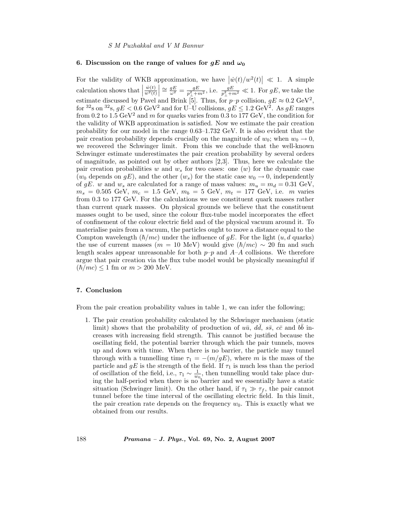#### **6.** Discussion on the range of values for  $gE$  and  $\omega_0$

For the validity of WKB approximation, we have  $|\dot{w}(t)/w^2(t)| \ll 1$ . A simple calculation shows that  $\left|\frac{\dot{w}(t)}{w^2(t)}\right| \approx \frac{gE}{\omega^2} = \frac{gE}{p_\perp^2 + m^2}$ , i.e.  $\frac{gE}{p_\perp^2 + m^2} \ll 1$ . For  $gE$ , we take the estimate discussed by Pavel and Brink [5]. Thus, for  $p-p$  collision,  $gE \approx 0.2 \text{ GeV}^2$ , for  ${}^{32}$ s on  ${}^{32}$ s,  $gE < 0.6$  GeV<sup>2</sup> and for U–U collisions,  $gE \leq 1.2$  GeV<sup>2</sup>. As  $gE$  ranges from 0.2 to 1.5  $GeV^2$  and m for quarks varies from 0.3 to 177  $GeV$ , the condition for the validity of WKB approximation is satisfied. Now we estimate the pair creation probability for our model in the range 0.63–1.732 GeV. It is also evident that the pair creation probability depends crucially on the magnitude of  $w_0$ ; when  $w_0 \to 0$ , we recovered the Schwinger limit. From this we conclude that the well-known Schwinger estimate underestimates the pair creation probability by several orders of magnitude, as pointed out by other authors [2,3]. Thus, here we calculate the pair creation probabilities w and  $w_s$  for two cases: one  $(w)$  for the dynamic case ( $w_0$  depends on  $qE$ ), and the other  $(w_s)$  for the static case  $w_0 \to 0$ , independently of gE. w and  $w_s$  are calculated for a range of mass values:  $m_u = m_d = 0.31$  GeV,  $m_s = 0.505 \text{ GeV}, m_c = 1.5 \text{ GeV}, m_b = 5 \text{ GeV}, m_t = 177 \text{ GeV}, \text{ i.e. } m \text{ varies}$ from 0.3 to 177 GeV. For the calculations we use constituent quark masses rather than current quark masses. On physical grounds we believe that the constituent masses ought to be used, since the colour flux-tube model incorporates the effect of confinement of the colour electric field and of the physical vacuum around it. To materialise pairs from a vacuum, the particles ought to move a distance equal to the Compton wavelength  $(\hbar/mc)$  under the influence of gE. For the light  $(u, d$  quarks) the use of current masses  $(m = 10 \text{ MeV})$  would give  $(\hbar/mc) \sim 20 \text{ fm}$  and such length scales appear unreasonable for both  $p-p$  and  $A-A$  collisions. We therefore argue that pair creation via the flux tube model would be physically meaningful if  $(\hbar/mc) \le 1$  fm or  $m > 200$  MeV.

#### **7. Conclusion**

From the pair creation probability values in table 1, we can infer the following;

1. The pair creation probability calculated by the Schwinger mechanism (static limit) shows that the probability of production of  $u\bar{u}$ ,  $d\bar{d}$ ,  $s\bar{s}$ ,  $c\bar{c}$  and  $b\bar{b}$  increases with increasing field strength. This cannot be justified because the oscillating field, the potential barrier through which the pair tunnels, moves up and down with time. When there is no barrier, the particle may tunnel through with a tunnelling time  $\tau_1 = -(m/gE)$ , where m is the mass of the particle and  $gE$  is the strength of the field. If  $\tau_1$  is much less than the period of oscillation of the field, i.e.,  $\tau_1 \sim \frac{1}{w_0}$ , then tunnelling would take place during the half-period when there is no barrier and we essentially have a static situation (Schwinger limit). On the other hand, if  $\tau_1 \gg \tau_f$ , the pair cannot tunnel before the time interval of the oscillating electric field. In this limit, the pair creation rate depends on the frequency  $w_0$ . This is exactly what we obtained from our results.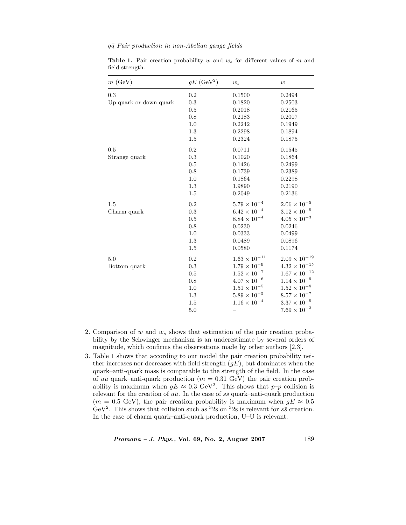| m(GeV)                 | $qE~(\text{GeV}^2)$ | $w_s$                  | w                      |
|------------------------|---------------------|------------------------|------------------------|
| 0.3                    | 0.2                 | 0.1500                 | 0.2494                 |
| Up quark or down quark | 0.3                 | 0.1820                 | 0.2503                 |
|                        | 0.5                 | 0.2018                 | 0.2165                 |
|                        | $\rm 0.8$           | 0.2183                 | 0.2007                 |
|                        | 1.0                 | 0.2242                 | 0.1949                 |
|                        | 1.3                 | 0.2298                 | 0.1894                 |
|                        | 1.5                 | 0.2324                 | 0.1875                 |
| 0.5                    | 0.2                 | 0.0711                 | 0.1545                 |
| Strange quark          | 0.3                 | 0.1020                 | 0.1864                 |
|                        | $0.5\,$             | 0.1426                 | 0.2499                 |
|                        | $0.8\,$             | 0.1739                 | 0.2389                 |
|                        | 1.0                 | 0.1864                 | 0.2298                 |
|                        | 1.3                 | 1.9890                 | 0.2190                 |
|                        | 1.5                 | 0.2049                 | 0.2136                 |
| 1.5                    | 0.2                 | $5.79 \times 10^{-4}$  | $2.06 \times 10^{-5}$  |
| Charm quark            | 0.3                 | $6.42 \times 10^{-4}$  | $3.12 \times 10^{-5}$  |
|                        | 0.5                 | $8.84 \times 10^{-4}$  | $4.05 \times 10^{-3}$  |
|                        | 0.8                 | 0.0230                 | 0.0246                 |
|                        | 1.0                 | 0.0333                 | 0.0499                 |
|                        | 1.3                 | 0.0489                 | 0.0896                 |
|                        | 1.5                 | 0.0580                 | 0.1174                 |
| 5.0                    | 0.2                 | $1.63 \times 10^{-11}$ | $2.09 \times 10^{-19}$ |
| Bottom quark           | 0.3                 | $1.79 \times 10^{-9}$  | $4.32\times10^{-15}$   |
|                        | 0.5                 | $1.52 \times 10^{-7}$  | $1.67\times10^{-12}$   |
|                        | 0.8                 | $4.07\times10^{-6}$    | $1.14\times10^{-9}$    |
|                        | 1.0                 | $1.51 \times 10^{-5}$  | $1.52\times10^{-8}$    |
|                        | 1.3                 | $5.89\times10^{-5}$    | $8.57\times10^{-7}$    |
|                        | 1.5                 | $1.16 \times 10^{-4}$  | $3.37\times10^{-5}$    |
|                        | 5.0                 |                        | $7.69 \times 10^{-3}$  |

**Table 1.** Pair creation probability w and  $w_s$  for different values of m and field strength.

- 2. Comparison of w and  $w_s$  shows that estimation of the pair creation probability by the Schwinger mechanism is an underestimate by several orders of magnitude, which confirms the observations made by other authors [2,3].
- 3. Table 1 shows that according to our model the pair creation probability neither increases nor decreases with field strength  $(gE)$ , but dominates when the quark–anti-quark mass is comparable to the strength of the field. In the case of  $u\bar{u}$  quark–anti-quark production ( $m = 0.31$  GeV) the pair creation probability is maximum when  $qE \approx 0.3 \text{ GeV}^2$ . This shows that  $p-p$  collision is relevant for the creation of  $u\bar{u}$ . In the case of  $s\bar{s}$  quark–anti-quark production  $(m = 0.5 \text{ GeV})$ , the pair creation probability is maximum when  $gE \approx 0.5$ GeV<sup>2</sup>. This shows that collision such as <sup>3</sup>2s on <sup>3</sup>2s is relevant for  $s\bar{s}$  creation. In the case of charm quark–anti-quark production, U–U is relevant.

*Pramana – J. Phys.,* **Vol. 69, No. 2, August 2007** 189